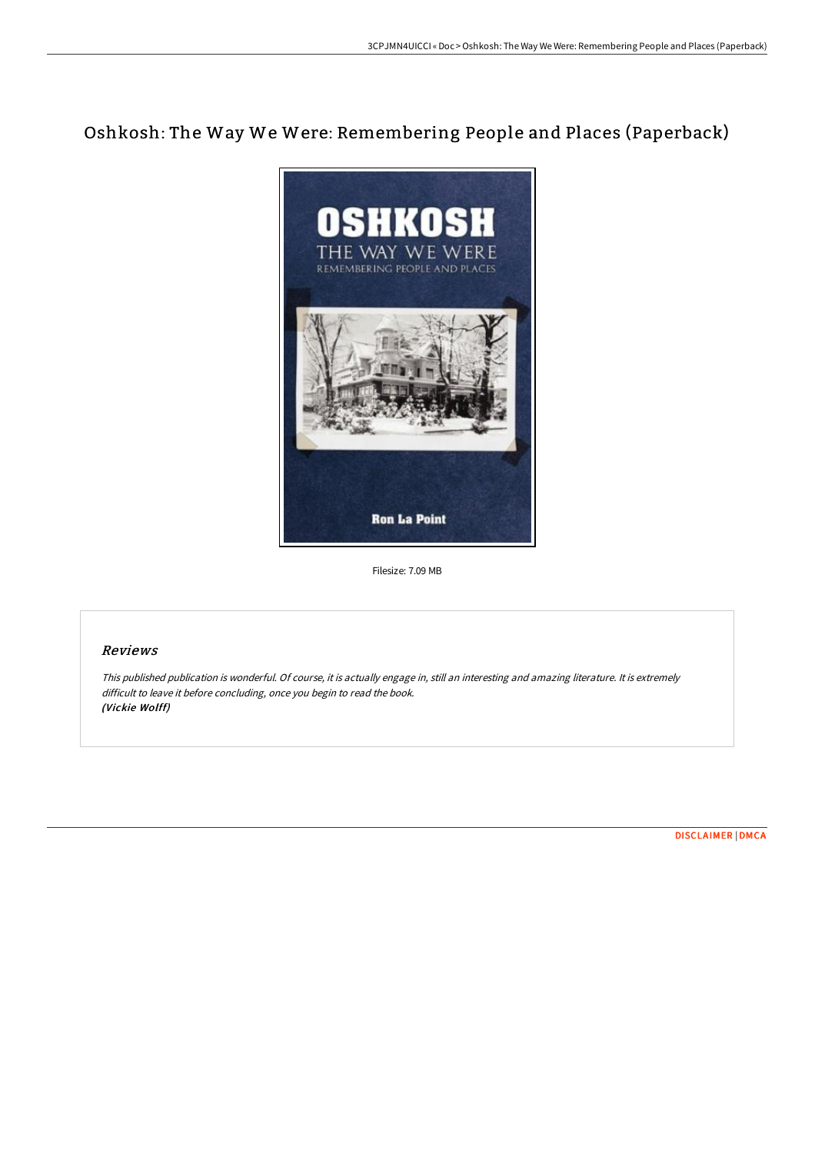# Oshkosh: The Way We Were: Remembering People and Places (Paperback)



Filesize: 7.09 MB

## Reviews

This published publication is wonderful. Of course, it is actually engage in, still an interesting and amazing literature. It is extremely difficult to leave it before concluding, once you begin to read the book. (Vickie Wolff)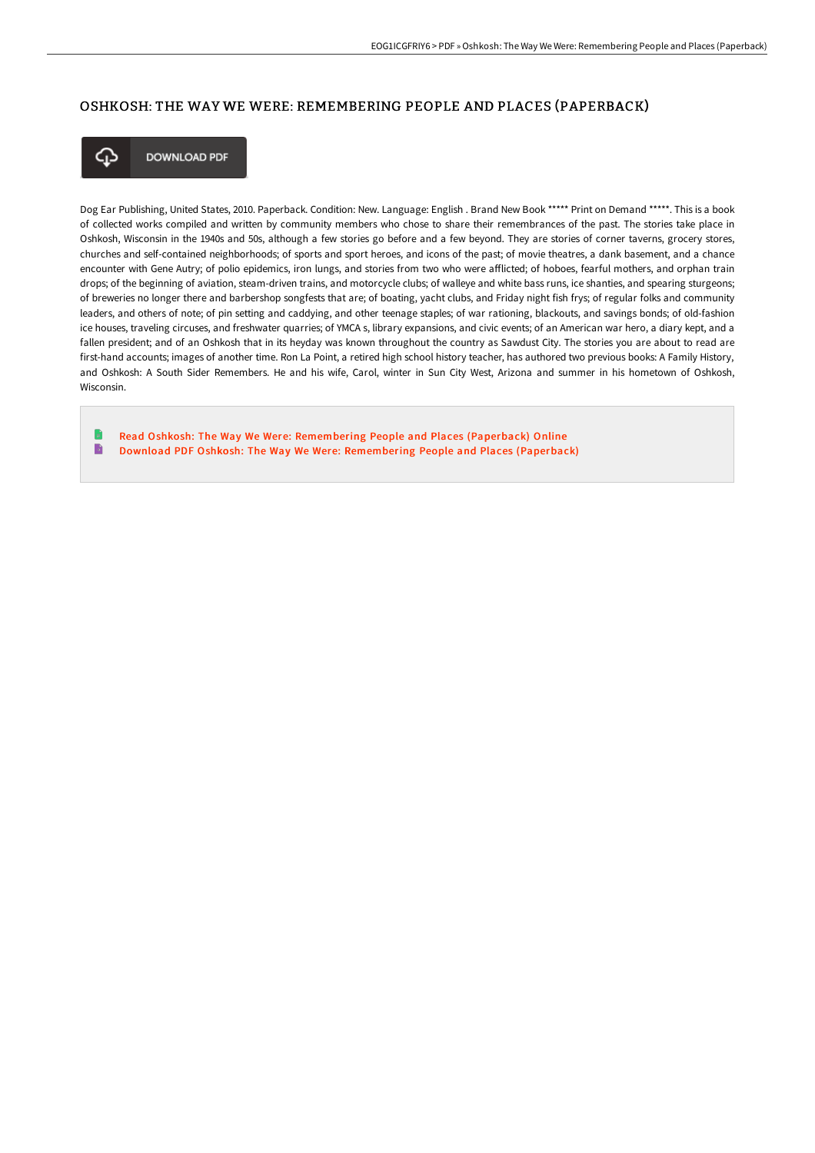### OSHKOSH: THE WAY WE WERE: REMEMBERING PEOPLE AND PLACES (PAPERBACK)



**DOWNLOAD PDF** 

Dog Ear Publishing, United States, 2010. Paperback. Condition: New. Language: English . Brand New Book \*\*\*\*\* Print on Demand \*\*\*\*\*. This is a book of collected works compiled and written by community members who chose to share their remembrances of the past. The stories take place in Oshkosh, Wisconsin in the 1940s and 50s, although a few stories go before and a few beyond. They are stories of corner taverns, grocery stores, churches and self-contained neighborhoods; of sports and sport heroes, and icons of the past; of movie theatres, a dank basement, and a chance encounter with Gene Autry; of polio epidemics, iron lungs, and stories from two who were afflicted; of hoboes, fearful mothers, and orphan train drops; of the beginning of aviation, steam-driven trains, and motorcycle clubs; of walleye and white bass runs, ice shanties, and spearing sturgeons; of breweries no longer there and barbershop songfests that are; of boating, yacht clubs, and Friday night fish frys; of regular folks and community leaders, and others of note; of pin setting and caddying, and other teenage staples; of war rationing, blackouts, and savings bonds; of old-fashion ice houses, traveling circuses, and freshwater quarries; of YMCA s, library expansions, and civic events; of an American war hero, a diary kept, and a fallen president; and of an Oshkosh that in its heyday was known throughout the country as Sawdust City. The stories you are about to read are first-hand accounts; images of another time. Ron La Point, a retired high school history teacher, has authored two previous books: A Family History, and Oshkosh: A South Sider Remembers. He and his wife, Carol, winter in Sun City West, Arizona and summer in his hometown of Oshkosh, Wisconsin.

Read Oshkosh: The Way We Were: [Remembering](http://techno-pub.tech/oshkosh-the-way-we-were-remembering-people-and-p.html) People and Places (Paperback) Online  $\mathbf{B}$ Download PDF Oshkosh: The Way We Were: [Remembering](http://techno-pub.tech/oshkosh-the-way-we-were-remembering-people-and-p.html) People and Places (Paperback)